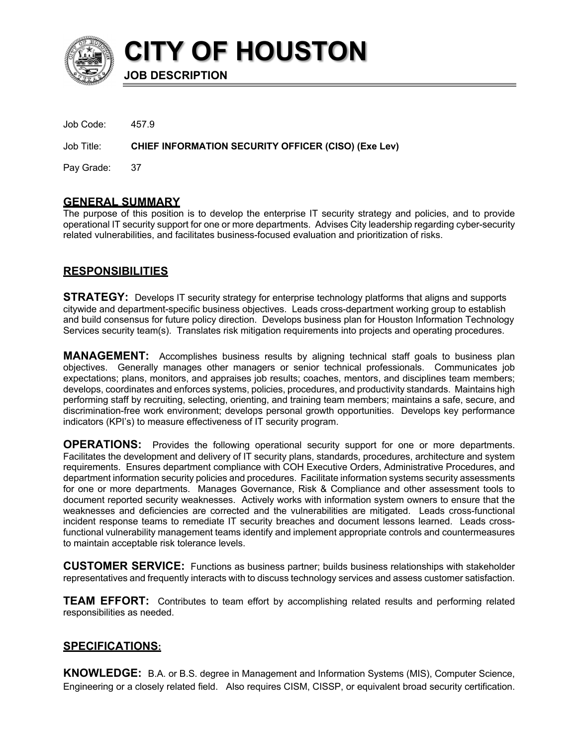

**CITY OF HOUSTON**

**JOB DESCRIPTION**

Job Code: 457.9

Job Title: **CHIEF INFORMATION SECURITY OFFICER (CISO) (Exe Lev)**

Pay Grade: 37

## **GENERAL SUMMARY**

The purpose of this position is to develop the enterprise IT security strategy and policies, and to provide operational IT security support for one or more departments. Advises City leadership regarding cyber-security related vulnerabilities, and facilitates business-focused evaluation and prioritization of risks.

# **RESPONSIBILITIES**

**STRATEGY:** Develops IT security strategy for enterprise technology platforms that aligns and supports citywide and department-specific business objectives. Leads cross-department working group to establish and build consensus for future policy direction. Develops business plan for Houston Information Technology Services security team(s). Translates risk mitigation requirements into projects and operating procedures.

**MANAGEMENT:** Accomplishes business results by aligning technical staff goals to business plan objectives. Generally manages other managers or senior technical professionals. Communicates job expectations; plans, monitors, and appraises job results; coaches, mentors, and disciplines team members; develops, coordinates and enforces systems, policies, procedures, and productivity standards. Maintains high performing staff by recruiting, selecting, orienting, and training team members; maintains a safe, secure, and discrimination-free work environment; develops personal growth opportunities. Develops key performance indicators (KPI's) to measure effectiveness of IT security program.

**OPERATIONS:** Provides the following operational security support for one or more departments. Facilitates the development and delivery of IT security plans, standards, procedures, architecture and system requirements. Ensures department compliance with COH Executive Orders, Administrative Procedures, and department information security policies and procedures. Facilitate information systems security assessments for one or more departments. Manages Governance, Risk & Compliance and other assessment tools to document reported security weaknesses. Actively works with information system owners to ensure that the weaknesses and deficiencies are corrected and the vulnerabilities are mitigated. Leads cross-functional incident response teams to remediate IT security breaches and document lessons learned. Leads crossfunctional vulnerability management teams identify and implement appropriate controls and countermeasures to maintain acceptable risk tolerance levels.

**CUSTOMER SERVICE:** Functions as business partner; builds business relationships with stakeholder representatives and frequently interacts with to discuss technology services and assess customer satisfaction.

**TEAM EFFORT:** Contributes to team effort by accomplishing related results and performing related responsibilities as needed.

# **SPECIFICATIONS:**

**KNOWLEDGE:** B.A. or B.S. degree in Management and Information Systems (MIS), Computer Science, Engineering or a closely related field. Also requires CISM, CISSP, or equivalent broad security certification.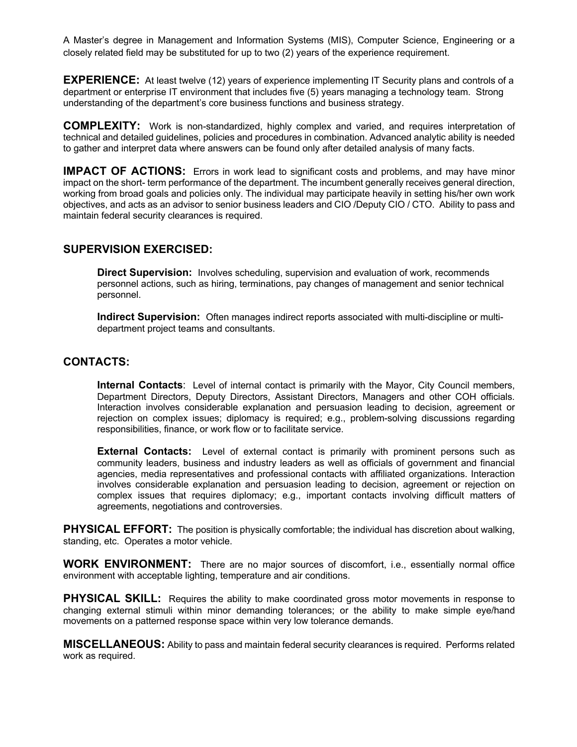A Master's degree in Management and Information Systems (MIS), Computer Science, Engineering or a closely related field may be substituted for up to two (2) years of the experience requirement.

**EXPERIENCE:** At least twelve (12) years of experience implementing IT Security plans and controls of a department or enterprise IT environment that includes five (5) years managing a technology team. Strong understanding of the department's core business functions and business strategy.

**COMPLEXITY:** Work is non-standardized, highly complex and varied, and requires interpretation of technical and detailed guidelines, policies and procedures in combination. Advanced analytic ability is needed to gather and interpret data where answers can be found only after detailed analysis of many facts.

**IMPACT OF ACTIONS:** Errors in work lead to significant costs and problems, and may have minor impact on the short- term performance of the department. The incumbent generally receives general direction, working from broad goals and policies only. The individual may participate heavily in setting his/her own work objectives, and acts as an advisor to senior business leaders and CIO /Deputy CIO / CTO. Ability to pass and maintain federal security clearances is required.

## **SUPERVISION EXERCISED:**

**Direct Supervision:** Involves scheduling, supervision and evaluation of work, recommends personnel actions, such as hiring, terminations, pay changes of management and senior technical personnel.

**Indirect Supervision:** Often manages indirect reports associated with multi-discipline or multidepartment project teams and consultants.

## **CONTACTS:**

**Internal Contacts**: Level of internal contact is primarily with the Mayor, City Council members, Department Directors, Deputy Directors, Assistant Directors, Managers and other COH officials. Interaction involves considerable explanation and persuasion leading to decision, agreement or rejection on complex issues; diplomacy is required; e.g., problem-solving discussions regarding responsibilities, finance, or work flow or to facilitate service.

**External Contacts:** Level of external contact is primarily with prominent persons such as community leaders, business and industry leaders as well as officials of government and financial agencies, media representatives and professional contacts with affiliated organizations. Interaction involves considerable explanation and persuasion leading to decision, agreement or rejection on complex issues that requires diplomacy; e.g., important contacts involving difficult matters of agreements, negotiations and controversies.

**PHYSICAL EFFORT:** The position is physically comfortable; the individual has discretion about walking, standing, etc. Operates a motor vehicle.

**WORK ENVIRONMENT:** There are no major sources of discomfort, i.e., essentially normal office environment with acceptable lighting, temperature and air conditions.

**PHYSICAL SKILL:** Requires the ability to make coordinated gross motor movements in response to changing external stimuli within minor demanding tolerances; or the ability to make simple eye/hand movements on a patterned response space within very low tolerance demands.

**MISCELLANEOUS:** Ability to pass and maintain federal security clearances is required. Performs related work as required.